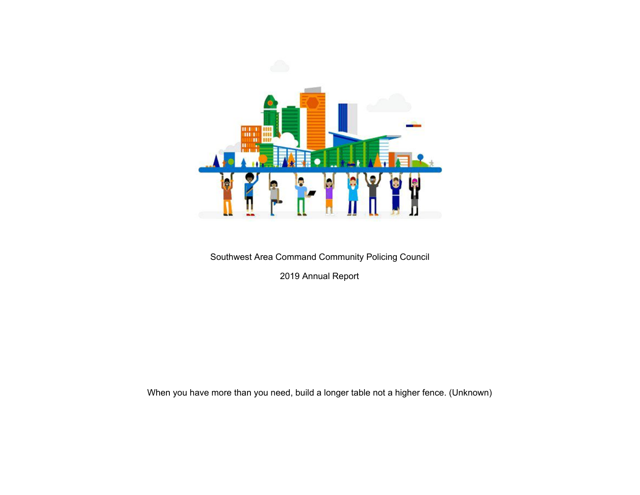

Southwest Area Command Community Policing Council

2019 Annual Report

When you have more than you need, build a longer table not a higher fence. (Unknown)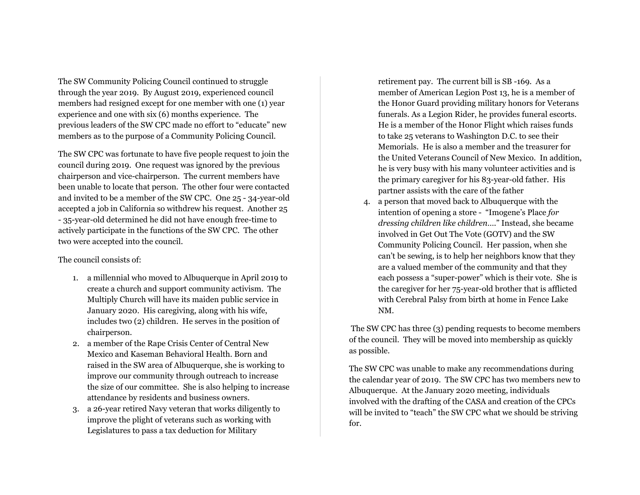The SW Community Policing Council continued to struggle through the year 2019. By August 2019, experienced council members had resigned except for one member with one (1) year experience and one with six (6) months experience. The previous leaders of the SW CPC made no effort to "educate" new members as to the purpose of a Community Policing Council.

The SW CPC was fortunate to have five people request to join the council during 2019. One request was ignored by the previous chairperson and vice-chairperson. The current members have been unable to locate that person. The other four were contacted and invited to be a member of the SW CPC. One 25 - 34-year-old accepted a job in California so withdrew his request. Another 25 - 35-year-old determined he did not have enough free-time to actively participate in the functions of the SW CPC. The other two were accepted into the council.

## The council consists of:

- 1. a millennial who moved to Albuquerque in April 2019 to create a church and support community activism. The Multiply Church will have its maiden public service in January 2020. His caregiving, along with his wife, includes two (2) children. He serves in the position of chairperson.
- 2. a member of the Rape Crisis Center of Central New Mexico and Kaseman Behavioral Health. Born and raised in the SW area of Albuquerque, she is working to improve our community through outreach to increase the size of our committee. She is also helping to increase attendance by residents and business owners.
- 3. a 26-year retired Navy veteran that works diligently to improve the plight of veterans such as working with Legislatures to pass a tax deduction for Military

retirement pay. The current bill is SB -169. As a member of American Legion Post 13, he is a member of the Honor Guard providing military honors for Veterans funerals. As a Legion Rider, he provides funeral escorts. He is a member of the Honor Flight which raises funds to take 25 veterans to Washington D.C. to see their Memorials. He is also a member and the treasurer for the United Veterans Council of New Mexico. In addition, he is very busy with his many volunteer activities and is the primary caregiver for his 83-year-old father. His partner assists with the care of the father

4. a person that moved back to Albuquerque with the intention of opening a store - "Imogene's Place *for dressing children like children*…." Instead, she became involved in Get Out The Vote (GOTV) and the SW Community Policing Council. Her passion, when she can't be sewing, is to help her neighbors know that they are a valued member of the community and that they each possess a "super-power" which is their vote. She is the caregiver for her 75-year-old brother that is afflicted with Cerebral Palsy from birth at home in Fence Lake NM.

The SW CPC has three (3) pending requests to become members of the council. They will be moved into membership as quickly as possible.

The SW CPC was unable to make any recommendations during the calendar year of 2019. The SW CPC has two members new to Albuquerque. At the January 2020 meeting, individuals involved with the drafting of the CASA and creation of the CPCs will be invited to "teach" the SW CPC what we should be striving for.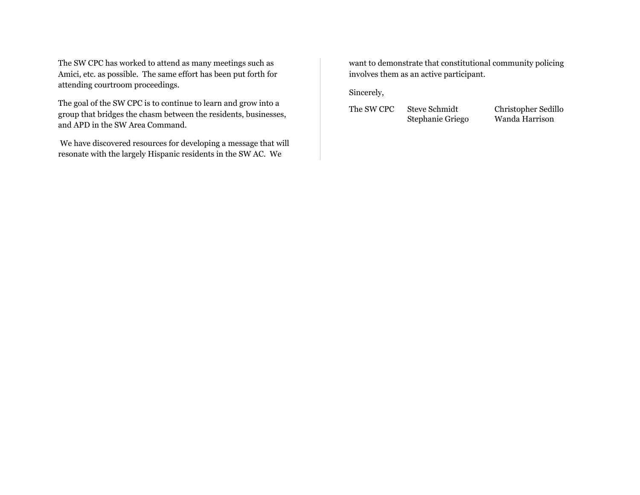The SW CPC has worked to attend as many meetings such as Amici, etc. as possible. The same effort has been put forth for attending courtroom proceedings.

The goal of the SW CPC is to continue to learn and grow into a group that bridges the chasm between the residents, businesses, and APD in the SW Area Command.

We have discovered resources for developing a message that will resonate with the largely Hispanic residents in the SW AC. We

want to demonstrate that constitutional community policing involves them as an active participant.

Sincerely,

The SW CPC Steve Schmidt Christopher Sedillo

Stephanie Griego Wanda Harrison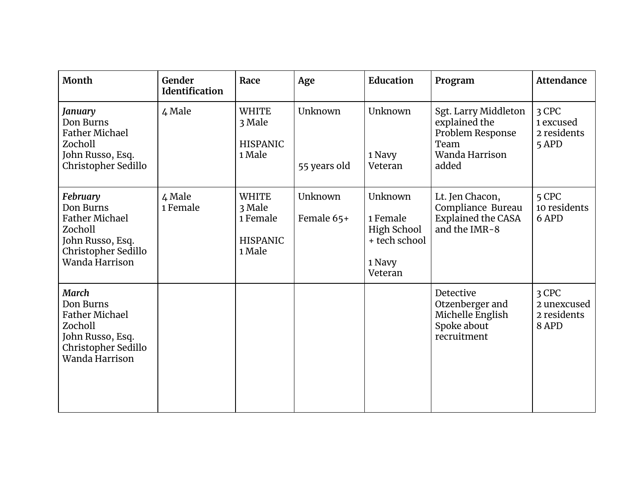| Month                                                                                                                      | Gender<br><b>Identification</b> | Race                                                            | Age                     | <b>Education</b>                                                         | Program                                                                                      | <b>Attendance</b>                            |
|----------------------------------------------------------------------------------------------------------------------------|---------------------------------|-----------------------------------------------------------------|-------------------------|--------------------------------------------------------------------------|----------------------------------------------------------------------------------------------|----------------------------------------------|
| January<br>Don Burns<br><b>Father Michael</b><br>Zocholl<br>John Russo, Esq.<br>Christopher Sedillo                        | 4 Male                          | <b>WHITE</b><br>3 Male<br><b>HISPANIC</b><br>1 Male             | Unknown<br>55 years old | Unknown<br>1 Navy<br>Veteran                                             | Sgt. Larry Middleton<br>explained the<br>Problem Response<br>Team<br>Wanda Harrison<br>added | 3 CPC<br>1 excused<br>2 residents<br>5 APD   |
| February<br>Don Burns<br><b>Father Michael</b><br>Zocholl<br>John Russo, Esq.<br>Christopher Sedillo<br>Wanda Harrison     | 4 Male<br>1 Female              | <b>WHITE</b><br>3 Male<br>1 Female<br><b>HISPANIC</b><br>1 Male | Unknown<br>Female 65+   | Unknown<br>1 Female<br>High School<br>+ tech school<br>1 Navy<br>Veteran | Lt. Jen Chacon,<br>Compliance Bureau<br><b>Explained the CASA</b><br>and the IMR-8           | 5 CPC<br>10 residents<br>6 APD               |
| <b>March</b><br>Don Burns<br><b>Father Michael</b><br>Zocholl<br>John Russo, Esq.<br>Christopher Sedillo<br>Wanda Harrison |                                 |                                                                 |                         |                                                                          | Detective<br>Otzenberger and<br>Michelle English<br>Spoke about<br>recruitment               | 3 CPC<br>2 unexcused<br>2 residents<br>8 APD |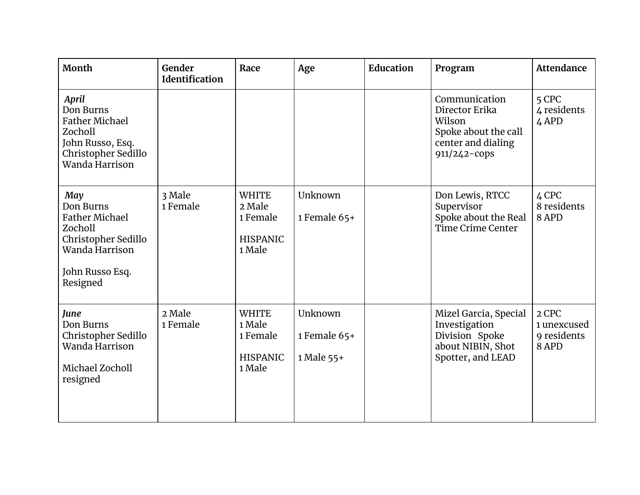| Month                                                                                                                        | Gender<br>Identification | Race                                                            | Age                                     | <b>Education</b> | Program                                                                                                 | <b>Attendance</b>                            |
|------------------------------------------------------------------------------------------------------------------------------|--------------------------|-----------------------------------------------------------------|-----------------------------------------|------------------|---------------------------------------------------------------------------------------------------------|----------------------------------------------|
| April<br>Don Burns<br><b>Father Michael</b><br>Zocholl<br>John Russo, Esq.<br>Christopher Sedillo<br>Wanda Harrison          |                          |                                                                 |                                         |                  | Communication<br>Director Erika<br>Wilson<br>Spoke about the call<br>center and dialing<br>911/242-cops | 5 CPC<br>4 residents<br>4 APD                |
| May<br>Don Burns<br><b>Father Michael</b><br>Zocholl<br>Christopher Sedillo<br>Wanda Harrison<br>John Russo Esq.<br>Resigned | 3 Male<br>1 Female       | <b>WHITE</b><br>2 Male<br>1 Female<br><b>HISPANIC</b><br>1 Male | Unknown<br>1 Female 65+                 |                  | Don Lewis, RTCC<br>Supervisor<br>Spoke about the Real<br>Time Crime Center                              | 4 CPC<br>8 residents<br>8 APD                |
| June<br>Don Burns<br>Christopher Sedillo<br>Wanda Harrison<br>Michael Zocholl<br>resigned                                    | 2 Male<br>1 Female       | <b>WHITE</b><br>1 Male<br>1 Female<br><b>HISPANIC</b><br>1 Male | Unknown<br>1 Female $65+$<br>1 Male 55+ |                  | Mizel Garcia, Special<br>Investigation<br>Division Spoke<br>about NIBIN, Shot<br>Spotter, and LEAD      | 2 CPC<br>1 unexcused<br>9 residents<br>8 APD |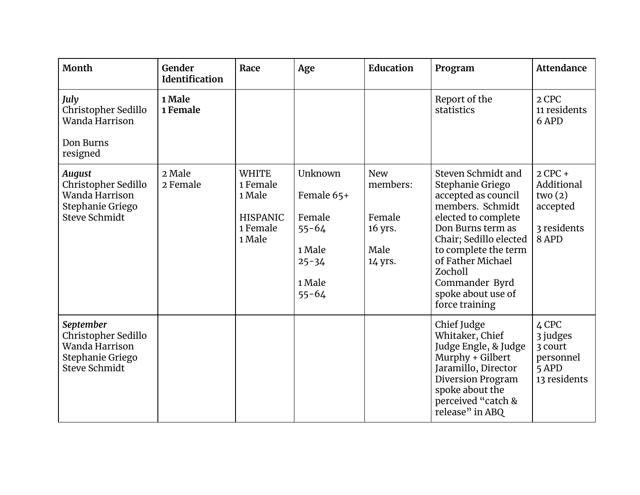| Month                                                                                              | Gender<br><b>Identification</b> | Race                                                                        | Age                                                                                        | Education                                                      | Program                                                                                                                                                                                                                                                                   | <b>Attendance</b>                                                     |
|----------------------------------------------------------------------------------------------------|---------------------------------|-----------------------------------------------------------------------------|--------------------------------------------------------------------------------------------|----------------------------------------------------------------|---------------------------------------------------------------------------------------------------------------------------------------------------------------------------------------------------------------------------------------------------------------------------|-----------------------------------------------------------------------|
| July<br>Christopher Sedillo<br>Wanda Harrison<br>Don Burns<br>resigned                             | 1 Male<br>1 Female              |                                                                             |                                                                                            |                                                                | Report of the<br>statistics                                                                                                                                                                                                                                               | 2 CPC<br>11 residents<br>6 APD                                        |
| <b>August</b><br>Christopher Sedillo<br>Wanda Harrison<br>Stephanie Griego<br><b>Steve Schmidt</b> | 2 Male<br>2 Female              | <b>WHITE</b><br>1 Female<br>1 Male<br><b>HISPANIC</b><br>1 Female<br>1 Male | Unknown<br>Female 65+<br>Female<br>$55 - 64$<br>1 Male<br>$25 - 34$<br>1 Male<br>$55 - 64$ | <b>New</b><br>members:<br>Female<br>16 yrs.<br>Male<br>14 yrs. | Steven Schmidt and<br>Stephanie Griego<br>accepted as council<br>members. Schmidt<br>elected to complete<br>Don Burns term as<br>Chair; Sedillo elected<br>to complete the term<br>of Father Michael<br>Zocholl<br>Commander Byrd<br>spoke about use of<br>force training | $2$ CPC +<br>Additional<br>two(2)<br>accepted<br>3 residents<br>8 APD |
| September<br>Christopher Sedillo<br>Wanda Harrison<br>Stephanie Griego<br><b>Steve Schmidt</b>     |                                 |                                                                             |                                                                                            |                                                                | Chief Judge<br>Whitaker, Chief<br>Judge Engle, & Judge<br>Murphy + Gilbert<br>Jaramillo, Director<br>Diversion Program<br>spoke about the<br>perceived "catch &<br>release" in ABQ                                                                                        | 4 CPC<br>3 judges<br>3 court<br>personnel<br>5 APD<br>13 residents    |